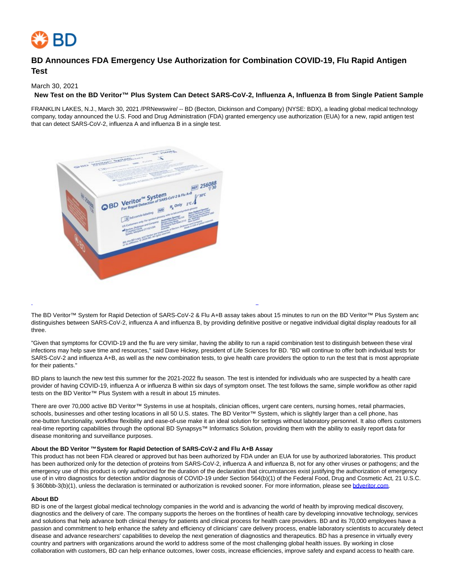

# **BD Announces FDA Emergency Use Authorization for Combination COVID-19, Flu Rapid Antigen Test**

March 30, 2021

# **New Test on the BD Veritor™ Plus System Can Detect SARS-CoV-2, Influenza A, Influenza B from Single Patient Sample**

FRANKLIN LAKES, N.J., March 30, 2021 /PRNewswire/ -- BD (Becton, Dickinson and Company) (NYSE: BDX), a leading global medical technology company, today announced the U.S. Food and Drug Administration (FDA) granted emergency use authorization (EUA) for a new, rapid antigen test that can detect SARS-CoV-2, influenza A and influenza B in a single test.



The BD Veritor™ System for Rapid Detection of SARS-CoV-2 & Flu A+B assay takes about 15 minutes to run on the BD Veritor™ Plus System anc distinguishes between SARS-CoV-2, influenza A and influenza B, by providing definitive positive or negative individual digital display readouts for all three.

L

"Given that symptoms for COVID-19 and the flu are very similar, having the ability to run a rapid combination test to distinguish between these viral infections may help save time and resources," said Dave Hickey, president of Life Sciences for BD. "BD will continue to offer both individual tests for SARS-CoV-2 and influenza A+B, as well as the new combination tests, to give health care providers the option to run the test that is most appropriate for their patients."

BD plans to launch the new test this summer for the 2021-2022 flu season. The test is intended for individuals who are suspected by a health care provider of having COVID-19, influenza A or influenza B within six days of symptom onset. The test follows the same, simple workflow as other rapid tests on the BD Veritor™ Plus System with a result in about 15 minutes.

There are over 70,000 active BD Veritor™ Systems in use at hospitals, clinician offices, urgent care centers, nursing homes, retail pharmacies, schools, businesses and other testing locations in all 50 U.S. states. The BD Veritor™ System, which is slightly larger than a cell phone, has one-button functionality, workflow flexibility and ease-of-use make it an ideal solution for settings without laboratory personnel. It also offers customers real-time reporting capabilities through the optional BD Synapsys™ Informatics Solution, providing them with the ability to easily report data for disease monitoring and surveillance purposes.

#### **About the BD Veritor ™ System for Rapid Detection of SARS-CoV-2 and Flu A+B Assay**

This product has not been FDA cleared or approved but has been authorized by FDA under an EUA for use by authorized laboratories. This product has been authorized only for the detection of proteins from SARS-CoV-2, influenza A and influenza B, not for any other viruses or pathogens; and the emergency use of this product is only authorized for the duration of the declaration that circumstances exist justifying the authorization of emergency use of in vitro diagnostics for detection and/or diagnosis of COVID-19 under Section 564(b)(1) of the Federal Food, Drug and Cosmetic Act, 21 U.S.C. § 360bbb-3(b)(1), unless the declaration is terminated or authorization is revoked sooner. For more information, please see [bdveritor.com.](https://c212.net/c/link/?t=0&l=en&o=3112199-1&h=952656175&u=http%3A%2F%2Fwww.bdveritor.com%2F&a=bdveritor.com)

#### **About BD**

BD is one of the largest global medical technology companies in the world and is advancing the world of health by improving medical discovery, diagnostics and the delivery of care. The company supports the heroes on the frontlines of health care by developing innovative technology, services and solutions that help advance both clinical therapy for patients and clinical process for health care providers. BD and its 70,000 employees have a passion and commitment to help enhance the safety and efficiency of clinicians' care delivery process, enable laboratory scientists to accurately detect disease and advance researchers' capabilities to develop the next generation of diagnostics and therapeutics. BD has a presence in virtually every country and partners with organizations around the world to address some of the most challenging global health issues. By working in close collaboration with customers, BD can help enhance outcomes, lower costs, increase efficiencies, improve safety and expand access to health care.